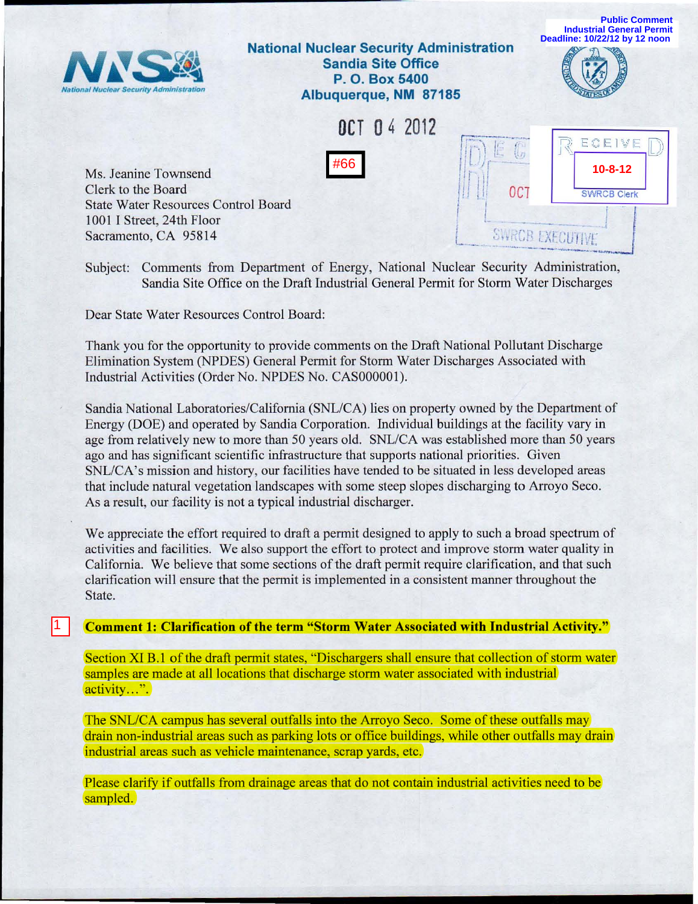

Subject: Comments from Department of Energy, National Nuclear Security Administration, Sandia Site Office on the Draft Industrial General Permit for Storm Water Discharges

Dear State Water Resources Control Board:

1

Thank you for the opportunity to provide comments on the Draft National Pollutant Discharge Elimination System (NPDES) General Permit for Storm Water Discharges Associated with Industrial Activities (Order No. NPDES No. CASOOOOOI).

Sandia National Laboratories/California (SNL/CA) lies on property owned by the Department of Energy (DOE) and operated by Sandia Corporation. Individual buildings at the facility vary in age from relatively new to more than 50 years old. SNL/CA was established more than 50 years ago and has significant scientific infrastructure that supports national priorities. Given *SNL/CA's* mission and history, our facilities have tended to be situated in less developed areas that include natural vegetation landscapes with some steep slopes discharging to Arroyo Seco. As a result, our facility is not a typical industrial discharger.

We appreciate the effort required to draft a permit designed to apply to such a broad spectrum of activities and facilities. We also support the effort to protect and improve storm water quality in California. We believe that some sections of the draft permit require clarification, and that such clarification will ensure that the permit is implemented in a consistent manner throughout the State.

Comment 1: Clarification of the term "Storm Water Associated with Industrial Activity."

Section XI B.1 of the draft permit states, "Dischargers shall ensure that collection of storm water samples are made at all locations that discharge storm water associated with industrial activity...".

The SNL/CA campus has several outfalls into the Arroyo Seco. Some of these outfalls may drain non-industrial areas such as parking lots or office buildings, while other outfalls may drain industrial areas such as vehicle maintenance, scrap yards, etc.

Please clarify if outfalls from drainage areas that do not contain industrial activities need to be sampled.